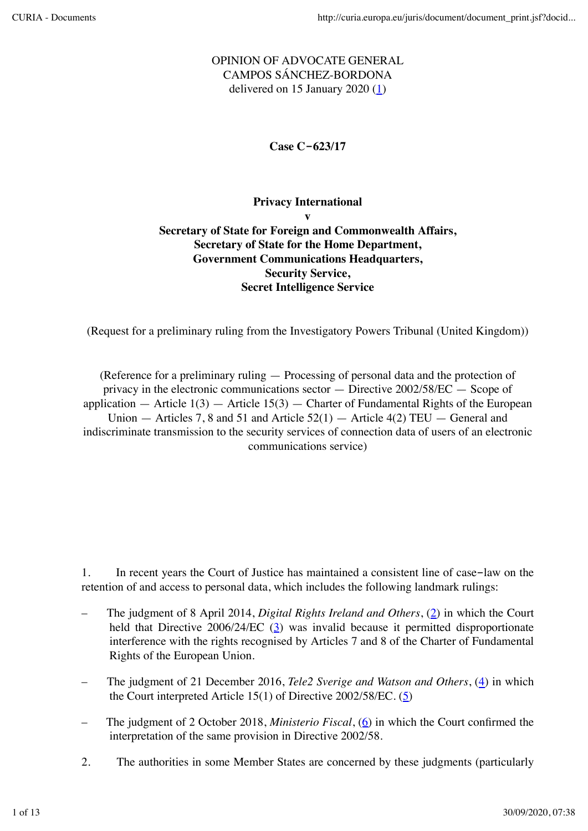# OPINION OF ADVOCATE GENERAL CAMPOS SÁNCHEZ-BORDONA delivered on 15 January 2020  $(1)$

**Case C-623/17**

## **Privacy International v Secretary of State for Foreign and Commonwealth Affairs, Secretary of State for the Home Department, Government Communications Headquarters, Security Service, Secret Intelligence Service**

(Request for a preliminary ruling from the Investigatory Powers Tribunal (United Kingdom))

(Reference for a preliminary ruling — Processing of personal data and the protection of privacy in the electronic communications sector — Directive 2002/58/EC — Scope of application  $-$  Article 1(3)  $-$  Article 15(3)  $-$  Charter of Fundamental Rights of the European Union  $-$  Articles 7, 8 and 51 and Article 52(1)  $-$  Article 4(2) TEU  $-$  General and indiscriminate transmission to the security services of connection data of users of an electronic communications service)

1. In recent years the Court of Justice has maintained a consistent line of case-law on the retention of and access to personal data, which includes the following landmark rulings:

- The judgment of 8 April 2014, *Digital Rights Ireland and Others*, (2) in which the Court held that Directive  $2006/24/EC$  ( $\frac{3}{2}$ ) was invalid because it permitted disproportionate interference with the rights recognised by Articles 7 and 8 of the Charter of Fundamental Rights of the European Union.
- The judgment of 21 December 2016, *Tele2 Sverige and Watson and Others*, (4) in which the Court interpreted Article 15(1) of Directive 2002/58/EC. (5)
- The judgment of 2 October 2018, *Ministerio Fiscal*, (6) in which the Court confirmed the interpretation of the same provision in Directive 2002/58.
- 2. The authorities in some Member States are concerned by these judgments (particularly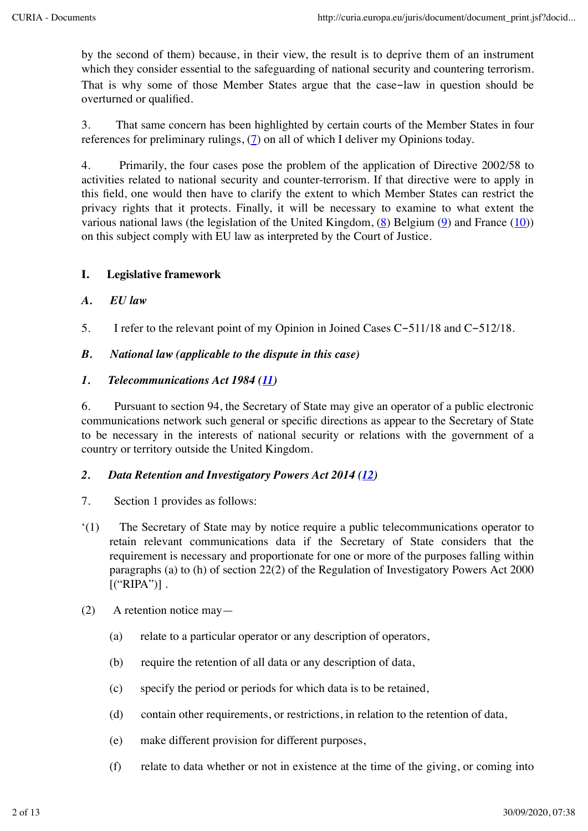by the second of them) because, in their view, the result is to deprive them of an instrument which they consider essential to the safeguarding of national security and countering terrorism. That is why some of those Member States argue that the case-law in question should be overturned or qualified.

3. That same concern has been highlighted by certain courts of the Member States in four references for preliminary rulings, (7) on all of which I deliver my Opinions today.

4. Primarily, the four cases pose the problem of the application of Directive 2002/58 to activities related to national security and counter-terrorism. If that directive were to apply in this field, one would then have to clarify the extent to which Member States can restrict the privacy rights that it protects. Finally, it will be necessary to examine to what extent the various national laws (the legislation of the United Kingdom, (8) Belgium (9) and France (10)) on this subject comply with EU law as interpreted by the Court of Justice.

# **I. Legislative framework**

# *A. EU law*

5. I refer to the relevant point of my Opinion in Joined Cases C-511/18 and C-512/18.

# *B. National law (applicable to the dispute in this case)*

#### *1. Telecommunications Act 1984 (11)*

6. Pursuant to section 94, the Secretary of State may give an operator of a public electronic communications network such general or specific directions as appear to the Secretary of State to be necessary in the interests of national security or relations with the government of a country or territory outside the United Kingdom.

#### *2. Data Retention and Investigatory Powers Act 2014 (12)*

- 7. Section 1 provides as follows:
- '(1) The Secretary of State may by notice require a public telecommunications operator to retain relevant communications data if the Secretary of State considers that the requirement is necessary and proportionate for one or more of the purposes falling within paragraphs (a) to (h) of section 22(2) of the Regulation of Investigatory Powers Act 2000  $[("RIPA")]$ .
- $(2)$  A retention notice may—
	- (a) relate to a particular operator or any description of operators,
	- (b) require the retention of all data or any description of data,
	- (c) specify the period or periods for which data is to be retained,
	- (d) contain other requirements, or restrictions, in relation to the retention of data,
	- (e) make different provision for different purposes,
	- (f) relate to data whether or not in existence at the time of the giving, or coming into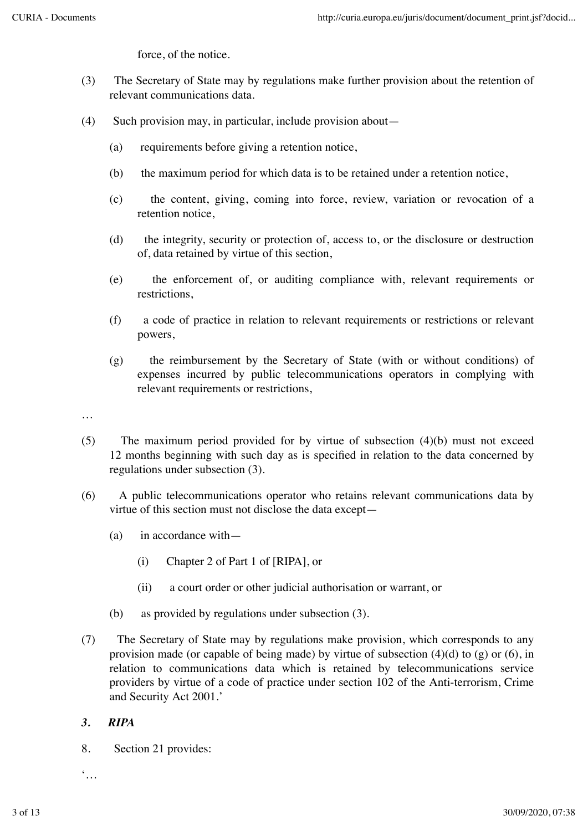force, of the notice.

- (3) The Secretary of State may by regulations make further provision about the retention of relevant communications data.
- $(4)$  Such provision may, in particular, include provision about—
	- (a) requirements before giving a retention notice,
	- (b) the maximum period for which data is to be retained under a retention notice,
	- (c) the content, giving, coming into force, review, variation or revocation of a retention notice,
	- (d) the integrity, security or protection of, access to, or the disclosure or destruction of, data retained by virtue of this section,
	- (e) the enforcement of, or auditing compliance with, relevant requirements or restrictions,
	- (f) a code of practice in relation to relevant requirements or restrictions or relevant powers,
	- (g) the reimbursement by the Secretary of State (with or without conditions) of expenses incurred by public telecommunications operators in complying with relevant requirements or restrictions,
- …
- (5) The maximum period provided for by virtue of subsection (4)(b) must not exceed 12 months beginning with such day as is specified in relation to the data concerned by regulations under subsection (3).
- (6) A public telecommunications operator who retains relevant communications data by virtue of this section must not disclose the data except—
	- $(a)$  in accordance with
		- (i) Chapter 2 of Part 1 of [RIPA], or
		- (ii) a court order or other judicial authorisation or warrant, or
	- (b) as provided by regulations under subsection (3).
- (7) The Secretary of State may by regulations make provision, which corresponds to any provision made (or capable of being made) by virtue of subsection  $(4)(d)$  to  $(g)$  or  $(6)$ , in relation to communications data which is retained by telecommunications service providers by virtue of a code of practice under section 102 of the Anti-terrorism, Crime and Security Act 2001.'

#### *3. RIPA*

8. Section 21 provides:

 $\dddot{\bullet}$ .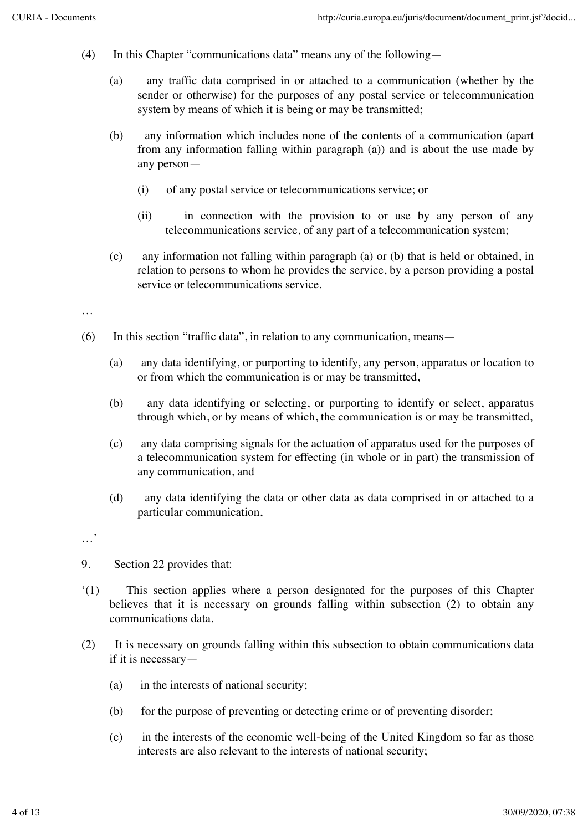- (4) In this Chapter "communications data" means any of the following—
	- (a) any traffic data comprised in or attached to a communication (whether by the sender or otherwise) for the purposes of any postal service or telecommunication system by means of which it is being or may be transmitted;
	- (b) any information which includes none of the contents of a communication (apart from any information falling within paragraph (a)) and is about the use made by any person—
		- (i) of any postal service or telecommunications service; or
		- (ii) in connection with the provision to or use by any person of any telecommunications service, of any part of a telecommunication system;
	- (c) any information not falling within paragraph (a) or (b) that is held or obtained, in relation to persons to whom he provides the service, by a person providing a postal service or telecommunications service.
- …
- $(6)$  In this section "traffic data", in relation to any communication, means—
	- (a) any data identifying, or purporting to identify, any person, apparatus or location to or from which the communication is or may be transmitted,
	- (b) any data identifying or selecting, or purporting to identify or select, apparatus through which, or by means of which, the communication is or may be transmitted,
	- (c) any data comprising signals for the actuation of apparatus used for the purposes of a telecommunication system for effecting (in whole or in part) the transmission of any communication, and
	- (d) any data identifying the data or other data as data comprised in or attached to a particular communication,

…'

- 9. Section 22 provides that:
- '(1) This section applies where a person designated for the purposes of this Chapter believes that it is necessary on grounds falling within subsection (2) to obtain any communications data.
- (2) It is necessary on grounds falling within this subsection to obtain communications data if it is necessary—
	- (a) in the interests of national security;
	- (b) for the purpose of preventing or detecting crime or of preventing disorder;
	- (c) in the interests of the economic well-being of the United Kingdom so far as those interests are also relevant to the interests of national security;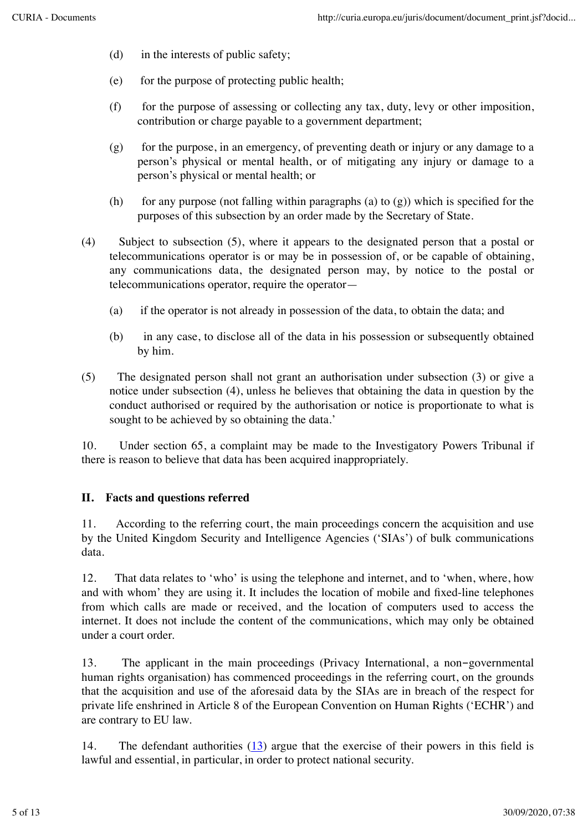- (d) in the interests of public safety;
- (e) for the purpose of protecting public health;
- (f) for the purpose of assessing or collecting any tax, duty, levy or other imposition, contribution or charge payable to a government department;
- (g) for the purpose, in an emergency, of preventing death or injury or any damage to a person's physical or mental health, or of mitigating any injury or damage to a person's physical or mental health; or
- (h) for any purpose (not falling within paragraphs (a) to  $(g)$ ) which is specified for the purposes of this subsection by an order made by the Secretary of State.
- (4) Subject to subsection (5), where it appears to the designated person that a postal or telecommunications operator is or may be in possession of, or be capable of obtaining, any communications data, the designated person may, by notice to the postal or telecommunications operator, require the operator—
	- (a) if the operator is not already in possession of the data, to obtain the data; and
	- (b) in any case, to disclose all of the data in his possession or subsequently obtained by him.
- (5) The designated person shall not grant an authorisation under subsection (3) or give a notice under subsection (4), unless he believes that obtaining the data in question by the conduct authorised or required by the authorisation or notice is proportionate to what is sought to be achieved by so obtaining the data.'

10. Under section 65, a complaint may be made to the Investigatory Powers Tribunal if there is reason to believe that data has been acquired inappropriately.

#### **II. Facts and questions referred**

11. According to the referring court, the main proceedings concern the acquisition and use by the United Kingdom Security and Intelligence Agencies ('SIAs') of bulk communications data.

12. That data relates to 'who' is using the telephone and internet, and to 'when, where, how and with whom' they are using it. It includes the location of mobile and fixed-line telephones from which calls are made or received, and the location of computers used to access the internet. It does not include the content of the communications, which may only be obtained under a court order.

13. The applicant in the main proceedings (Privacy International, a non-governmental human rights organisation) has commenced proceedings in the referring court, on the grounds that the acquisition and use of the aforesaid data by the SIAs are in breach of the respect for private life enshrined in Article 8 of the European Convention on Human Rights ('ECHR') and are contrary to EU law.

14. The defendant authorities (13) argue that the exercise of their powers in this field is lawful and essential, in particular, in order to protect national security.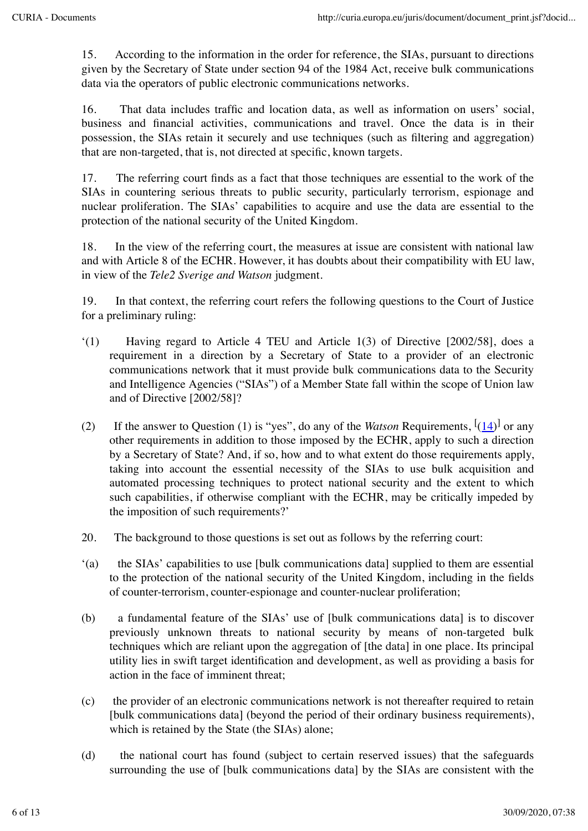15. According to the information in the order for reference, the SIAs, pursuant to directions given by the Secretary of State under section 94 of the 1984 Act, receive bulk communications data via the operators of public electronic communications networks.

16. That data includes traffic and location data, as well as information on users' social, business and financial activities, communications and travel. Once the data is in their possession, the SIAs retain it securely and use techniques (such as filtering and aggregation) that are non-targeted, that is, not directed at specific, known targets.

17. The referring court finds as a fact that those techniques are essential to the work of the SIAs in countering serious threats to public security, particularly terrorism, espionage and nuclear proliferation. The SIAs' capabilities to acquire and use the data are essential to the protection of the national security of the United Kingdom.

18. In the view of the referring court, the measures at issue are consistent with national law and with Article 8 of the ECHR. However, it has doubts about their compatibility with EU law, in view of the *Tele2 Sverige and Watson* judgment.

19. In that context, the referring court refers the following questions to the Court of Justice for a preliminary ruling:

- $(1)$  Having regard to Article 4 TEU and Article 1(3) of Directive [2002/58], does a requirement in a direction by a Secretary of State to a provider of an electronic communications network that it must provide bulk communications data to the Security and Intelligence Agencies ("SIAs") of a Member State fall within the scope of Union law and of Directive [2002/58]?
- (2) If the answer to Question (1) is "yes", do any of the *Watson* Requirements,  $\left[ \frac{(14)}{ } \right]$  or any other requirements in addition to those imposed by the ECHR, apply to such a direction by a Secretary of State? And, if so, how and to what extent do those requirements apply, taking into account the essential necessity of the SIAs to use bulk acquisition and automated processing techniques to protect national security and the extent to which such capabilities, if otherwise compliant with the ECHR, may be critically impeded by the imposition of such requirements?'
- 20. The background to those questions is set out as follows by the referring court:
- '(a) the SIAs' capabilities to use [bulk communications data] supplied to them are essential to the protection of the national security of the United Kingdom, including in the fields of counter-terrorism, counter-espionage and counter-nuclear proliferation;
- (b) a fundamental feature of the SIAs' use of [bulk communications data] is to discover previously unknown threats to national security by means of non-targeted bulk techniques which are reliant upon the aggregation of [the data] in one place. Its principal utility lies in swift target identification and development, as well as providing a basis for action in the face of imminent threat;
- (c) the provider of an electronic communications network is not thereafter required to retain [bulk communications data] (beyond the period of their ordinary business requirements), which is retained by the State (the SIAs) alone;
- (d) the national court has found (subject to certain reserved issues) that the safeguards surrounding the use of [bulk communications data] by the SIAs are consistent with the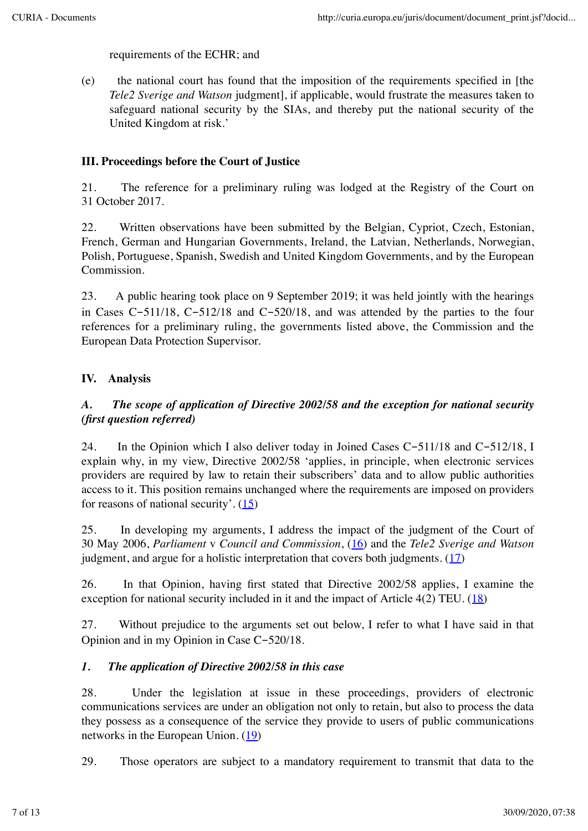requirements of the ECHR; and

(e) the national court has found that the imposition of the requirements specified in [the *Tele2 Sverige and Watson* judgment], if applicable, would frustrate the measures taken to safeguard national security by the SIAs, and thereby put the national security of the United Kingdom at risk.'

## **III. Proceedings before the Court of Justice**

21. The reference for a preliminary ruling was lodged at the Registry of the Court on 31 October 2017.

22. Written observations have been submitted by the Belgian, Cypriot, Czech, Estonian, French, German and Hungarian Governments, Ireland, the Latvian, Netherlands, Norwegian, Polish, Portuguese, Spanish, Swedish and United Kingdom Governments, and by the European Commission.

23. A public hearing took place on 9 September 2019; it was held jointly with the hearings in Cases C-511/18, C-512/18 and C-520/18, and was attended by the parties to the four references for a preliminary ruling, the governments listed above, the Commission and the European Data Protection Supervisor.

# **IV. Analysis**

# *A. The scope of application of Directive 2002/58 and the exception for national security (first question referred)*

24. In the Opinion which I also deliver today in Joined Cases C-511/18 and C-512/18, I explain why, in my view, Directive 2002/58 'applies, in principle, when electronic services providers are required by law to retain their subscribers' data and to allow public authorities access to it. This position remains unchanged where the requirements are imposed on providers for reasons of national security'. (15)

25. In developing my arguments, I address the impact of the judgment of the Court of 30 May 2006, *Parliament* v *Council and Commission*, (16) and the *Tele2 Sverige and Watson* judgment, and argue for a holistic interpretation that covers both judgments.  $(17)$ 

26. In that Opinion, having first stated that Directive 2002/58 applies, I examine the exception for national security included in it and the impact of Article  $4(2)$  TEU.  $(18)$ 

27. Without prejudice to the arguments set out below, I refer to what I have said in that Opinion and in my Opinion in Case C-520/18.

#### *1. The application of Directive 2002/58 in this case*

28. Under the legislation at issue in these proceedings, providers of electronic communications services are under an obligation not only to retain, but also to process the data they possess as a consequence of the service they provide to users of public communications networks in the European Union. (19)

29. Those operators are subject to a mandatory requirement to transmit that data to the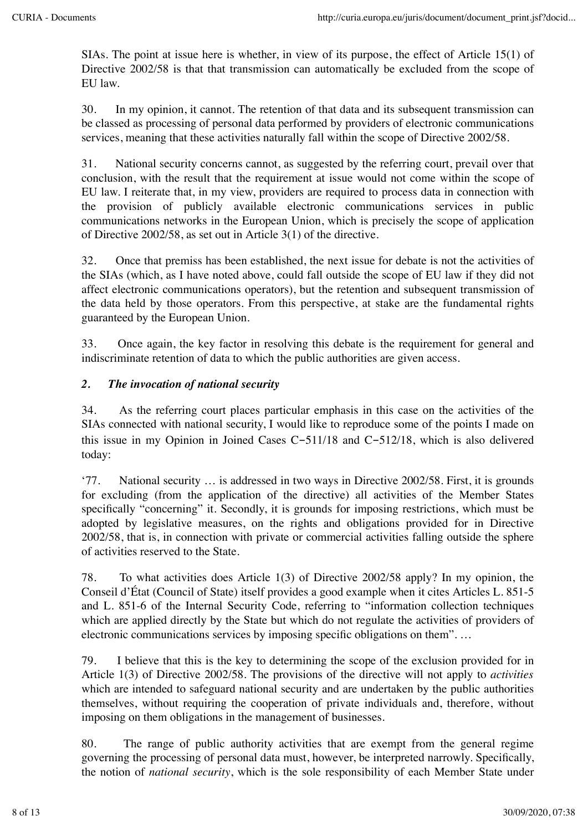SIAs. The point at issue here is whether, in view of its purpose, the effect of Article 15(1) of Directive 2002/58 is that that transmission can automatically be excluded from the scope of EU law.

30. In my opinion, it cannot. The retention of that data and its subsequent transmission can be classed as processing of personal data performed by providers of electronic communications services, meaning that these activities naturally fall within the scope of Directive 2002/58.

31. National security concerns cannot, as suggested by the referring court, prevail over that conclusion, with the result that the requirement at issue would not come within the scope of EU law. I reiterate that, in my view, providers are required to process data in connection with the provision of publicly available electronic communications services in public communications networks in the European Union, which is precisely the scope of application of Directive 2002/58, as set out in Article 3(1) of the directive.

32. Once that premiss has been established, the next issue for debate is not the activities of the SIAs (which, as I have noted above, could fall outside the scope of EU law if they did not affect electronic communications operators), but the retention and subsequent transmission of the data held by those operators. From this perspective, at stake are the fundamental rights guaranteed by the European Union.

33. Once again, the key factor in resolving this debate is the requirement for general and indiscriminate retention of data to which the public authorities are given access.

# *2. The invocation of national security*

34. As the referring court places particular emphasis in this case on the activities of the SIAs connected with national security, I would like to reproduce some of the points I made on this issue in my Opinion in Joined Cases C-511/18 and C-512/18, which is also delivered today:

'77. National security … is addressed in two ways in Directive 2002/58. First, it is grounds for excluding (from the application of the directive) all activities of the Member States specifically "concerning" it. Secondly, it is grounds for imposing restrictions, which must be adopted by legislative measures, on the rights and obligations provided for in Directive 2002/58, that is, in connection with private or commercial activities falling outside the sphere of activities reserved to the State.

78. To what activities does Article 1(3) of Directive 2002/58 apply? In my opinion, the Conseil d'État (Council of State) itself provides a good example when it cites Articles L. 851-5 and L. 851-6 of the Internal Security Code, referring to "information collection techniques which are applied directly by the State but which do not regulate the activities of providers of electronic communications services by imposing specific obligations on them". …

79. I believe that this is the key to determining the scope of the exclusion provided for in Article 1(3) of Directive 2002/58. The provisions of the directive will not apply to *activities* which are intended to safeguard national security and are undertaken by the public authorities themselves, without requiring the cooperation of private individuals and, therefore, without imposing on them obligations in the management of businesses.

80. The range of public authority activities that are exempt from the general regime governing the processing of personal data must, however, be interpreted narrowly. Specifically, the notion of *national security*, which is the sole responsibility of each Member State under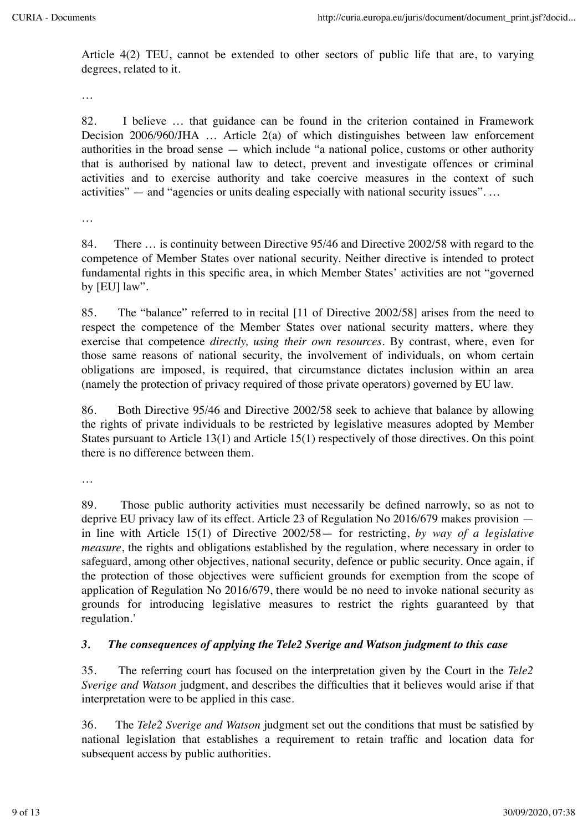Article 4(2) TEU, cannot be extended to other sectors of public life that are, to varying degrees, related to it.

…

82. I believe … that guidance can be found in the criterion contained in Framework Decision 2006/960/JHA … Article 2(a) of which distinguishes between law enforcement authorities in the broad sense — which include "a national police, customs or other authority that is authorised by national law to detect, prevent and investigate offences or criminal activities and to exercise authority and take coercive measures in the context of such activities" — and "agencies or units dealing especially with national security issues"....

…

84. There ... is continuity between Directive 95/46 and Directive 2002/58 with regard to the competence of Member States over national security. Neither directive is intended to protect fundamental rights in this specific area, in which Member States' activities are not "governed by [EU] law".

85. The "balance" referred to in recital [11 of Directive 2002/58] arises from the need to respect the competence of the Member States over national security matters, where they exercise that competence *directly, using their own resources*. By contrast, where, even for those same reasons of national security, the involvement of individuals, on whom certain obligations are imposed, is required, that circumstance dictates inclusion within an area (namely the protection of privacy required of those private operators) governed by EU law.

86. Both Directive 95/46 and Directive 2002/58 seek to achieve that balance by allowing the rights of private individuals to be restricted by legislative measures adopted by Member States pursuant to Article 13(1) and Article 15(1) respectively of those directives. On this point there is no difference between them.

…

89. Those public authority activities must necessarily be defined narrowly, so as not to deprive EU privacy law of its effect. Article 23 of Regulation No 2016/679 makes provision in line with Article 15(1) of Directive 2002/58— for restricting, *by way of a legislative measure*, the rights and obligations established by the regulation, where necessary in order to safeguard, among other objectives, national security, defence or public security. Once again, if the protection of those objectives were sufficient grounds for exemption from the scope of application of Regulation No 2016/679, there would be no need to invoke national security as grounds for introducing legislative measures to restrict the rights guaranteed by that regulation.'

#### *3. The consequences of applying the Tele2 Sverige and Watson judgment to this case*

35. The referring court has focused on the interpretation given by the Court in the *Tele2 Sverige and Watson* judgment, and describes the difficulties that it believes would arise if that interpretation were to be applied in this case.

36. The *Tele2 Sverige and Watson* judgment set out the conditions that must be satisfied by national legislation that establishes a requirement to retain traffic and location data for subsequent access by public authorities.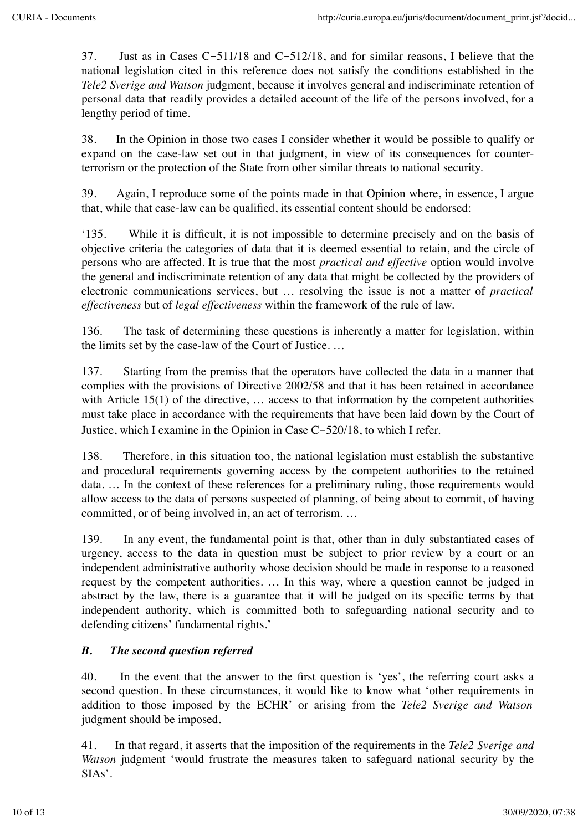37. Just as in Cases C-511/18 and C-512/18, and for similar reasons, I believe that the national legislation cited in this reference does not satisfy the conditions established in the *Tele2 Sverige and Watson* judgment, because it involves general and indiscriminate retention of personal data that readily provides a detailed account of the life of the persons involved, for a lengthy period of time.

38. In the Opinion in those two cases I consider whether it would be possible to qualify or expand on the case-law set out in that judgment, in view of its consequences for counterterrorism or the protection of the State from other similar threats to national security.

39. Again, I reproduce some of the points made in that Opinion where, in essence, I argue that, while that case-law can be qualified, its essential content should be endorsed:

'135. While it is difficult, it is not impossible to determine precisely and on the basis of objective criteria the categories of data that it is deemed essential to retain, and the circle of persons who are affected. It is true that the most *practical and effective* option would involve the general and indiscriminate retention of any data that might be collected by the providers of electronic communications services, but … resolving the issue is not a matter of *practical effectiveness* but of *legal effectiveness* within the framework of the rule of law.

136. The task of determining these questions is inherently a matter for legislation, within the limits set by the case-law of the Court of Justice. …

137. Starting from the premiss that the operators have collected the data in a manner that complies with the provisions of Directive 2002/58 and that it has been retained in accordance with Article 15(1) of the directive, ... access to that information by the competent authorities must take place in accordance with the requirements that have been laid down by the Court of Justice, which I examine in the Opinion in Case C-520/18, to which I refer.

138. Therefore, in this situation too, the national legislation must establish the substantive and procedural requirements governing access by the competent authorities to the retained data. … In the context of these references for a preliminary ruling, those requirements would allow access to the data of persons suspected of planning, of being about to commit, of having committed, or of being involved in, an act of terrorism. …

139. In any event, the fundamental point is that, other than in duly substantiated cases of urgency, access to the data in question must be subject to prior review by a court or an independent administrative authority whose decision should be made in response to a reasoned request by the competent authorities. … In this way, where a question cannot be judged in abstract by the law, there is a guarantee that it will be judged on its specific terms by that independent authority, which is committed both to safeguarding national security and to defending citizens' fundamental rights.'

# *B. The second question referred*

40. In the event that the answer to the first question is 'yes', the referring court asks a second question. In these circumstances, it would like to know what 'other requirements in addition to those imposed by the ECHR' or arising from the *Tele2 Sverige and Watson* judgment should be imposed.

41. In that regard, it asserts that the imposition of the requirements in the *Tele2 Sverige and Watson* judgment 'would frustrate the measures taken to safeguard national security by the SIAs'.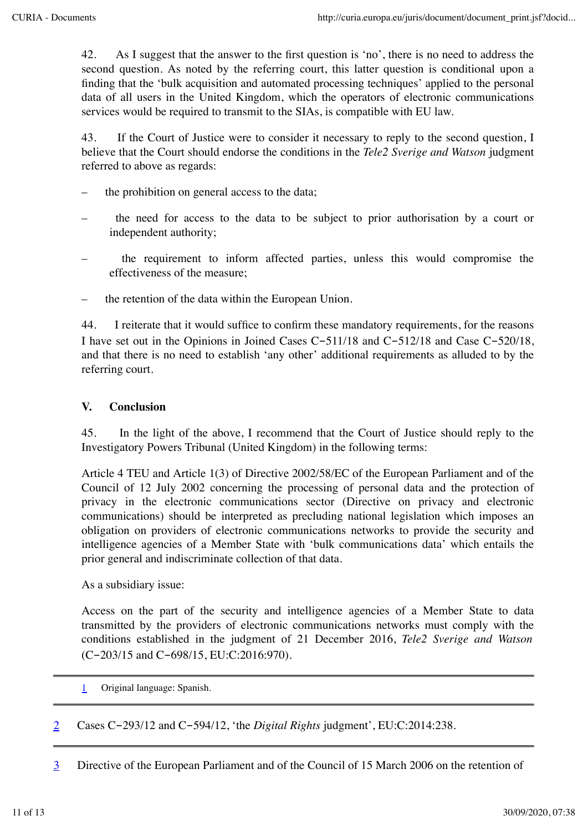42. As I suggest that the answer to the first question is 'no', there is no need to address the second question. As noted by the referring court, this latter question is conditional upon a finding that the 'bulk acquisition and automated processing techniques' applied to the personal data of all users in the United Kingdom, which the operators of electronic communications services would be required to transmit to the SIAs, is compatible with EU law.

43. If the Court of Justice were to consider it necessary to reply to the second question, I believe that the Court should endorse the conditions in the *Tele2 Sverige and Watson* judgment referred to above as regards:

- the prohibition on general access to the data;
- the need for access to the data to be subject to prior authorisation by a court or independent authority;
- the requirement to inform affected parties, unless this would compromise the effectiveness of the measure;
- the retention of the data within the European Union.

44. I reiterate that it would suffice to confirm these mandatory requirements, for the reasons I have set out in the Opinions in Joined Cases C-511/18 and C-512/18 and Case C-520/18, and that there is no need to establish 'any other' additional requirements as alluded to by the referring court.

#### **V. Conclusion**

45. In the light of the above, I recommend that the Court of Justice should reply to the Investigatory Powers Tribunal (United Kingdom) in the following terms:

Article 4 TEU and Article 1(3) of Directive 2002/58/EC of the European Parliament and of the Council of 12 July 2002 concerning the processing of personal data and the protection of privacy in the electronic communications sector (Directive on privacy and electronic communications) should be interpreted as precluding national legislation which imposes an obligation on providers of electronic communications networks to provide the security and intelligence agencies of a Member State with 'bulk communications data' which entails the prior general and indiscriminate collection of that data.

As a subsidiary issue:

Access on the part of the security and intelligence agencies of a Member State to data transmitted by the providers of electronic communications networks must comply with the conditions established in the judgment of 21 December 2016, *Tele2 Sverige and Watson* (C-203/15 and C-698/15, EU:C:2016:970).

- 1 Original language: Spanish.
- 2 Cases C-293/12 and C-594/12, 'the *Digital Rights* judgment', EU:C:2014:238.
- 3 Directive of the European Parliament and of the Council of 15 March 2006 on the retention of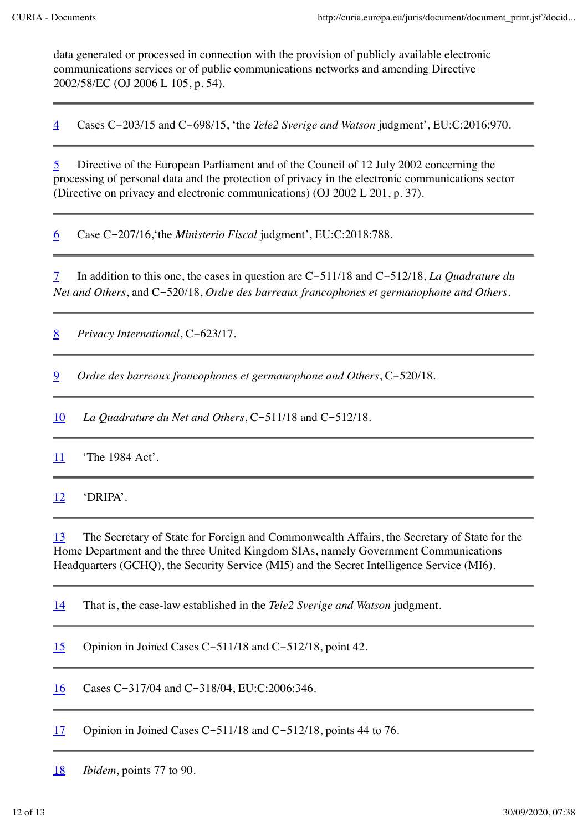data generated or processed in connection with the provision of publicly available electronic communications services or of public communications networks and amending Directive 2002/58/EC (OJ 2006 L 105, p. 54).

4 Cases C-203/15 and C-698/15, 'the *Tele2 Sverige and Watson* judgment', EU:C:2016:970.

5 Directive of the European Parliament and of the Council of 12 July 2002 concerning the processing of personal data and the protection of privacy in the electronic communications sector (Directive on privacy and electronic communications) (OJ 2002 L 201, p. 37).

6 Case C-207/16,'the *Ministerio Fiscal* judgment', EU:C:2018:788.

7 In addition to this one, the cases in question are C-511/18 and C-512/18, *La Quadrature du Net and Others*, and C-520/18, *Ordre des barreaux francophones et germanophone and Others*.

8 *Privacy International*, C-623/17.

9 *Ordre des barreaux francophones et germanophone and Others*, C-520/18.

10 *La Quadrature du Net and Others*, C-511/18 and C-512/18.

11 The 1984 Act'.

12 'DRIPA'.

13 The Secretary of State for Foreign and Commonwealth Affairs, the Secretary of State for the Home Department and the three United Kingdom SIAs, namely Government Communications Headquarters (GCHQ), the Security Service (MI5) and the Secret Intelligence Service (MI6).

14 That is, the case-law established in the *Tele2 Sverige and Watson* judgment.

15 Opinion in Joined Cases C-511/18 and C-512/18, point 42.

16 Cases C-317/04 and C-318/04, EU:C:2006:346.

17 Opinion in Joined Cases C-511/18 and C-512/18, points 44 to 76.

18 *Ibidem*, points 77 to 90.